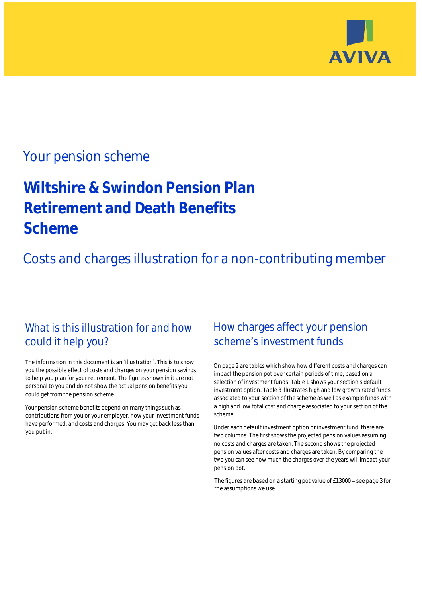

## Your pension scheme

# **Wiltshire & Swindon Pension Plan Retirement and Death Benefits Scheme**

Costs and charges illustration for a non-contributing member

### What is this illustration for and how could it help you?

#### The information in this document is an 'illustration'. This is to show you the possible effect of costs and charges on your pension savings to help you plan for your retirement. The figures shown in it are not personal to you and do not show the actual pension benefits you could get from the pension scheme.

Your pension scheme benefits depend on many things such as contributions from you or your employer, how your investment funds have performed, and costs and charges. You may get back less than you put in.

### How charges affect your pension scheme's investment funds

On page 2 are tables which show how different costs and charges can impact the pension pot over certain periods of time, based on a selection of investment funds. Table 1 shows your section's default investment option. Table 3 illustrates high and low growth rated funds associated to your section of the scheme as well as example funds with a high and low total cost and charge associated to your section of the scheme.

Under each default investment option or investment fund, there are two columns. The first shows the projected pension values assuming no costs and charges are taken. The second shows the projected pension values after costs and charges are taken. By comparing the two you can see how much the charges over the years will impact your pension pot.

The figures are based on a starting pot value of  $£13000$  - see page 3 for the assumptions we use.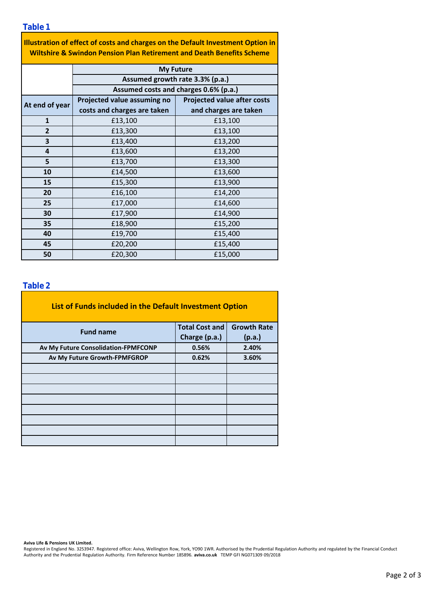**Table 1**

| Illustration of effect of costs and charges on the Default Investment Option in  |
|----------------------------------------------------------------------------------|
| <b>Wiltshire &amp; Swindon Pension Plan Retirement and Death Benefits Scheme</b> |

|                | <b>My Future</b><br>Assumed growth rate 3.3% (p.a.)<br>Assumed costs and charges 0.6% (p.a.) |                                    |  |  |  |  |
|----------------|----------------------------------------------------------------------------------------------|------------------------------------|--|--|--|--|
|                |                                                                                              |                                    |  |  |  |  |
|                |                                                                                              |                                    |  |  |  |  |
| At end of year | Projected value assuming no                                                                  | <b>Projected value after costs</b> |  |  |  |  |
|                | costs and charges are taken                                                                  | and charges are taken              |  |  |  |  |
| $\mathbf{1}$   | £13,100                                                                                      | £13,100                            |  |  |  |  |
| $\overline{2}$ | £13,300                                                                                      | £13,100                            |  |  |  |  |
| 3              | £13,400                                                                                      | £13,200                            |  |  |  |  |
| 4              | £13,600                                                                                      | £13,200                            |  |  |  |  |
| 5              | £13,700                                                                                      | £13,300                            |  |  |  |  |
| 10             | £14,500                                                                                      | £13,600                            |  |  |  |  |
| 15             | £15,300                                                                                      | £13,900                            |  |  |  |  |
| 20             | £16,100                                                                                      | £14,200                            |  |  |  |  |
| 25             | £17,000                                                                                      | £14,600                            |  |  |  |  |
| 30             | £17,900                                                                                      | £14,900                            |  |  |  |  |
| 35             | £18,900                                                                                      | £15,200                            |  |  |  |  |
| 40             | £19,700                                                                                      | £15,400                            |  |  |  |  |
| 45             | £20,200                                                                                      | £15,400                            |  |  |  |  |
| 50             | £15,000<br>£20,300                                                                           |                                    |  |  |  |  |

### **Table 2**

| List of Funds included in the Default Investment Option |                       |                    |
|---------------------------------------------------------|-----------------------|--------------------|
| <b>Fund name</b>                                        | <b>Total Cost and</b> | <b>Growth Rate</b> |
|                                                         | Charge (p.a.)         | (p.a.)             |
| Av My Future Consolidation-FPMFCONP                     | 0.56%                 | 2.40%              |
| Av My Future Growth-FPMFGROP                            | 0.62%                 | 3.60%              |
|                                                         |                       |                    |
|                                                         |                       |                    |
|                                                         |                       |                    |
|                                                         |                       |                    |
|                                                         |                       |                    |
|                                                         |                       |                    |
|                                                         |                       |                    |
|                                                         |                       |                    |

**Aviva Life & Pensions UK Limited.**

Registered in England No. 3253947. Registered office: Aviva, Wellington Row, York, YO90 1WR. Authorised by the Prudential Regulation Authority and regulated by the Financial Conduct Authority and the Prudential Regulation Authority. Firm Reference Number 185896. **aviva.co.uk** TEMP GFI NG071309 09/2018